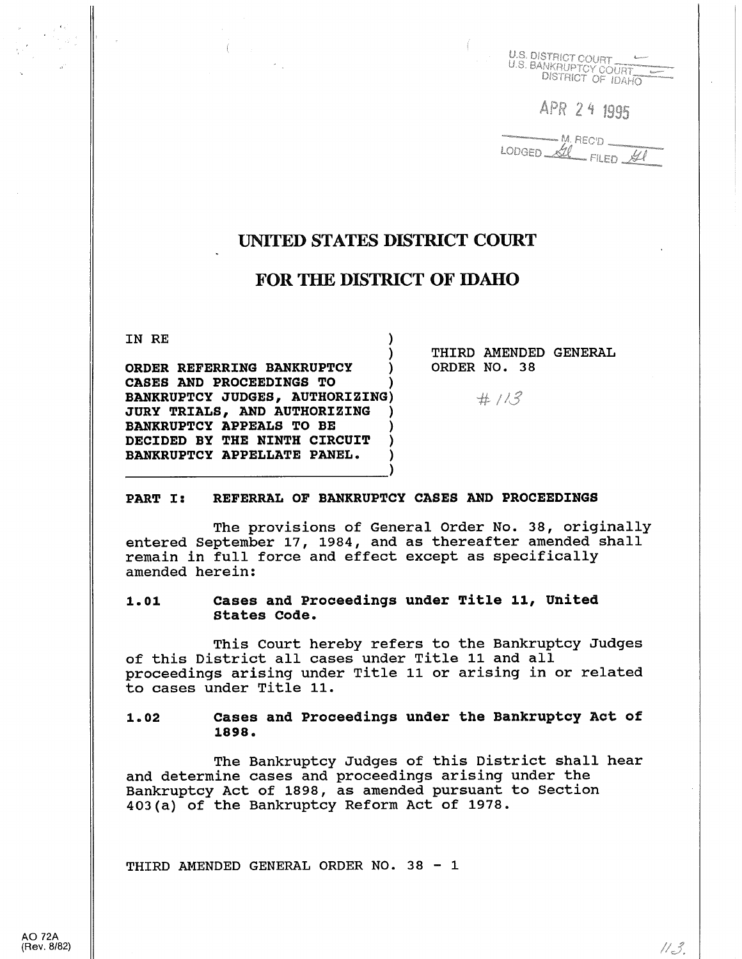

APR 24 1995

LODGED AL FILED AL

# UNITED STATES DISTRICT COURT

# FOR THE DISTRICT OF IDAHO

IN RE

) ORDER REFERRING BANKRUPTCY CASES AND PROCEEDINGS TO ) BANKRUPTCY JUDGES, AUTHORIZING) JURY TRIALS, AND AUTHORIZING ) BANKRUPTCY APPEALS TO BE DECIDED BY THE NINTH CIRCUIT BANKRUPTCY APPELLATE PANEL.

THIRD AMENDED GENERAL ORDER NO. 38

 $#113$ 

#### PART I: REFERRAL OF BANKRUPTCY CASES AND PROCEEDINGS

The provisions of General Order No. 38, originally entered September 17, 1984, and as thereafter amended shall remain in full force and effect except as specifically amended herein:

# 1.01 cases and Proceedings under Title 11, United states Code.

This Court hereby refers to the Bankruptcy Judges of this District all cases under Title 11 and all proceedings arising under Title 11 or arising in or related to cases under Title 11.

### 1.02 cases and Proceedings under the Bankruptcy Act of 1898.

The Bankruptcy Judges of this District shall hear and determine cases and proceedings arising under the Bankruptcy Act of 1898, as amended pursuant to Section 403(a) of the Bankruptcy Reform Act of 1978.

THIRD AMENDED GENERAL ORDER NO. 38 - 1

 $11 - 3.$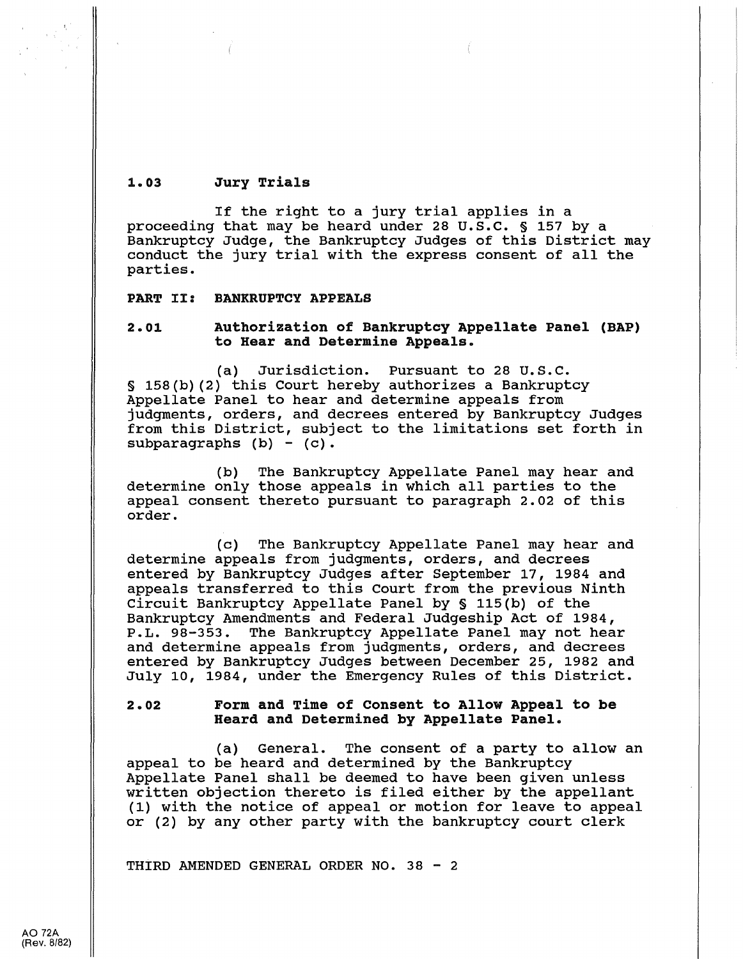#### 1.03 Jury Trials

If the right to a jury trial applies in a proceeding that may be heard under 28 u.s.c. § 157 by a Bankruptcy Judge, the Bankruptcy Judges of this District may conduct the jury trial with the express consent of all the parties.

PART II: BANKRUPTCY APPEALS

# 2.01 Authorization of Bankruptcy Appellate Panel (BAP) to Hear and Determine Appeals.

(a) Jurisdiction. Pursuant to 28 u.s.c. § 158(b) (2) this Court hereby authorizes a Bankruptcy Appellate Panel to hear and determine appeals from judgments, orders, and decrees entered by Bankruptcy Judges from this District, subject to the limitations set forth in subparagraphs  $(b) - (c)$ .

(b) determine only those appeals in which all parties to the appeal consent thereto pursuant to paragraph 2.02 of this order. The Bankruptcy Appellate Panel may hear and

(c) The Bankruptcy Appellate Panel may hear and determine appeals from judgments, orders, and decrees entered by Bankruptcy Judges after September 17, 1984 and appeals transferred to this Court from the previous Ninth Circuit Bankruptcy Appellate Panel by § 115(b) of the Bankruptcy Amendments and Federal Judgeship Act of 1984,<br>P.L. 98-353. The Bankruptcy Appellate Panel may not hea The Bankruptcy Appellate Panel may not hear and determine appeals from judgments, orders, and decrees entered by Bankruptcy Judges between December 25, 1982 and July 10, 1984, under the Emergency Rules of this District.

# 2. 02 Form and Time of Consent to Allow Appeal to be Heard and Determined by Appellate Panel.

(a) General. The consent of a party to allow an appeal to be heard and determined by the Bankruptcy Appellate Panel shall be deemed to have been given unless written objection thereto is filed either by the appellant (1) with the notice of appeal or motion for leave to appeal or (2) by any other party with the bankruptcy court clerk

THIRD AMENDED GENERAL ORDER NO. 38 - 2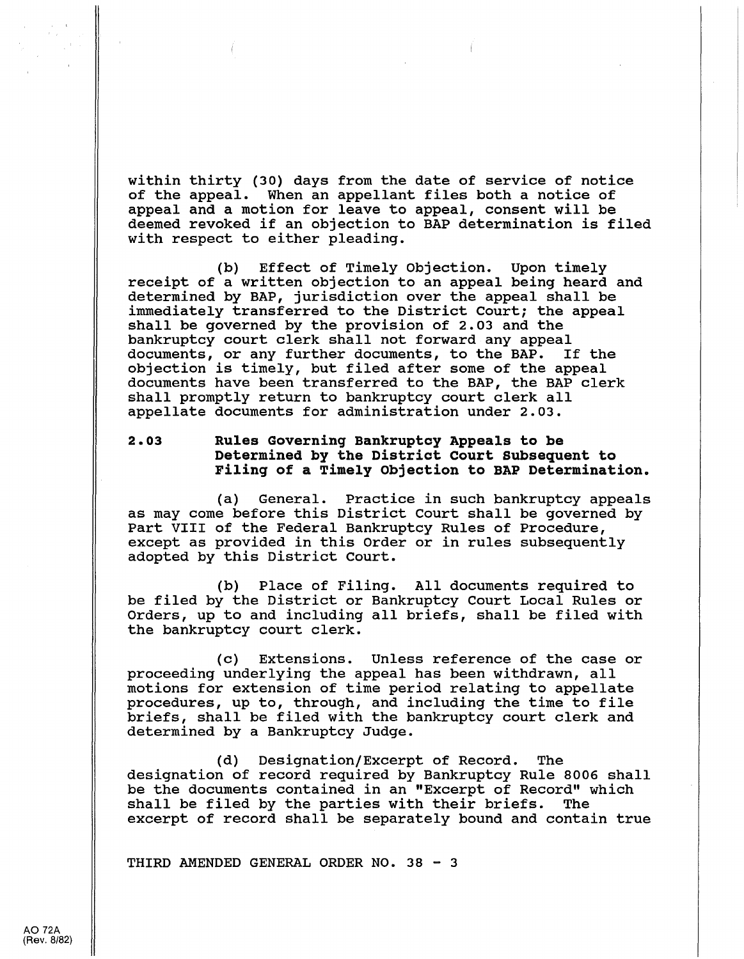within thirty (30) days from the date of service of notice<br>of the appeal. When an appellant files both a notice of When an appellant files both a notice of appeal and a motion for leave to appeal, consent will be deemed revoked if an objection to BAP determination is filed with respect to either pleading.

(b) Effect of Timely Objection. Upon timely receipt of a written objection to an appeal being heard and determined by BAP, jurisdiction over the appeal shall be immediately transferred to the District Court; the appeal shall be governed by the provision of 2.03 and the bankruptcy court clerk shall not forward any appeal documents, or any further documents, to the BAP. If the objection is timely, but filed after some of the appeal documents have been transferred to the BAP, the BAP clerk shall promptly return to bankruptcy court clerk all appellate documents for administration under 2.03.

# 2.03 Rules Governing Bankruptcy Appeals to be Determined by the District court subsequent to Filing of a Timely Objection to BAP Determination.

(a) General. Practice in such bankruptcy appeals as may come before this District Court shall be governed by Part VIII of the Federal Bankruptcy Rules of Procedure, except as provided in this Order or in rules subsequently adopted by this District Court.

(b) Place of Filing. All documents required to be filed by the District or Bankruptcy Court Local Rules or Orders, up to and including all briefs, shall be filed with the bankruptcy court clerk.

(c) Extensions. Unless reference of the case or proceeding underlying the appeal has been withdrawn, all motions for extension of time period relating to appellate procedures, up to, through, and including the time to file briefs, shall be filed with the bankruptcy court clerk and determined by a Bankruptcy Judge.

(d) Designation/Excerpt of Record. The designation of record required by Bankruptcy Rule 8006 shall be the documents contained in an "Excerpt of Record" which shall be filed by the parties with their briefs. The excerpt of record shall be separately bound and contain true

THIRD AMENDED GENERAL ORDER NO. 38 - 3

AO 72A (Rev. 8/82)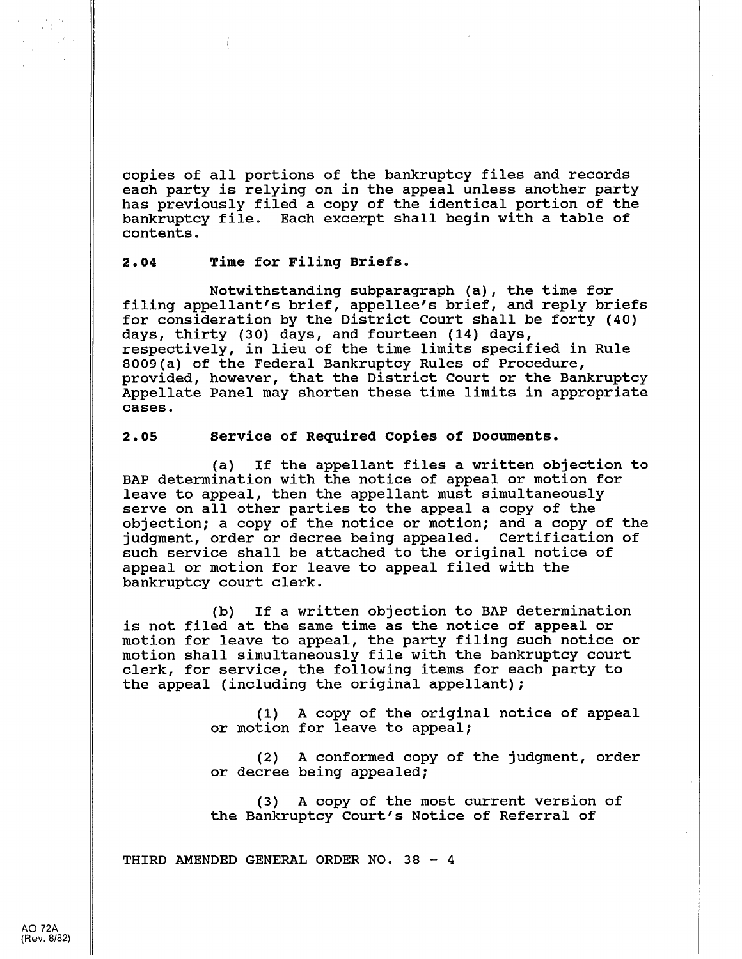copies of all portions of the bankruptcy files and records each party is relying on in the appeal unless another party has previously filed a copy of the identical portion of the bankruptcy file. Each excerpt shall begin with a table of contents.

#### $2.04$ Time for Filing Briefs.

Notwithstanding subparagraph (a), the time for filing appellant's brief, appellee's brief, and reply briefs for consideration by the District Court shall be forty (40) days, thirty (30) days, and fourteen (14) days, respectively, in lieu of the time limits specified in Rule 8009(a) of the Federal Bankruptcy Rules of Procedure, provided, however, that the District Court or the Bankruptcy Appellate Panel may shorten these time limits in appropriate cases.

### 2.05 Service of Required Copies of Documents.

(a) If the appellant files a written objection to BAP determination with the notice of appeal or motion for leave to appeal, then the appellant must simultaneously serve on all other parties to the appeal a copy of the objection; a copy of the notice or motion; and a copy of the judgment, order or decree being appealed. Certification of such service shall be attached to the original notice of appeal or motion for leave to appeal filed with the bankruptcy court clerk.

(b) If a written objection to BAP determination is not filed at the same time as the notice of appeal or motion for leave to appeal, the party filing such notice or motion shall simultaneously file with the bankruptcy court clerk, for service, the following items for each party to the appeal (including the original appellant);

> (1) A copy of the original notice of appeal or motion for leave to appeal;

> (2) A conformed copy of the judgment, order or decree being appealed;

(3) A copy of the most current version of the Bankruptcy Court's Notice of Referral of

THIRD AMENDED GENERAL ORDER NO. 38 - 4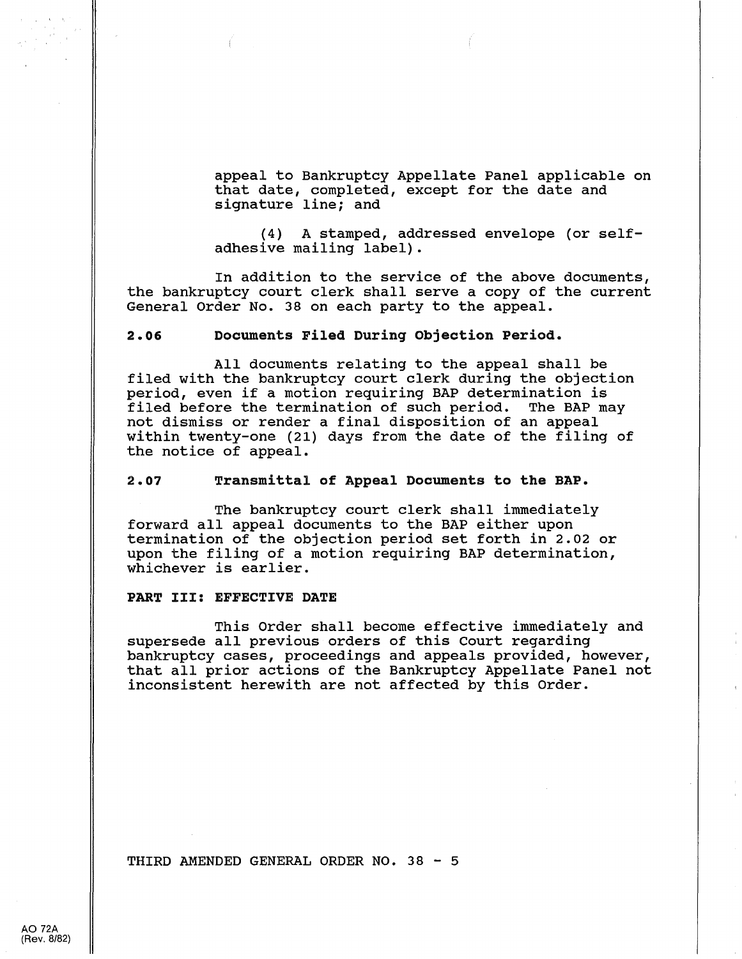appeal to Bankruptcy Appellate Panel applicable on that date, completed, except for the date and signature line; and

(4) A stamped, addressed envelope (or selfadhesive mailing label).

In addition to the service of the above documents, the bankruptcy court clerk shall serve a copy of the current General Order No. 38 on each party to the appeal.

#### 2.06 Documents Filed During Objection Period.

All documents relating to the appeal shall be filed with the bankruptcy court clerk during the objection period, even if a motion requiring BAP determination is filed before the termination of such period. The BAP may not dismiss or render a final disposition of an appeal within twenty-one (21) days from the date of the filing of the notice of appeal.

#### 2.07 Transmittal of Appeal Documents to the BAP.

The bankruptcy court clerk shall immediately forward all appeal documents to the BAP either upon termination of the objection period set forth in 2.02 or upon the filing of a motion requiring BAP determination, whichever is earlier.

#### PART III: EFFECTIVE DATE

This Order shall become effective immediately and supersede all previous orders of this Court regarding bankruptcy cases, proceedings and appeals provided, however, that all prior actions of the Bankruptcy Appellate Panel not inconsistent herewith are not affected by this Order.

THIRD AMENDED GENERAL ORDER NO. 38 - 5

AO 72A (Rev. 8/82)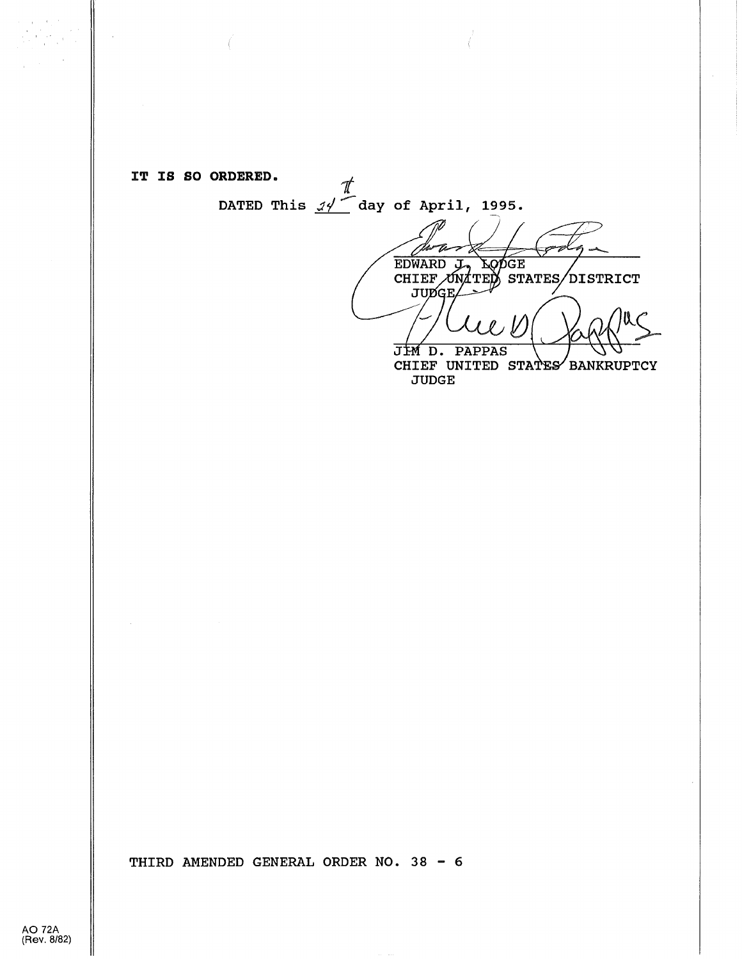IT IS SO ORDERED. *t* 

DATED This  $\mathscr{A}$  day of April, 1995.

**EDWARD** <u>ZÓDEE</u>

CHIEF UNATED STATES DISTRICT

 $\mathbb{R}\zeta$  $JIM$  D. PAPPAS

CHIEF UNITED STATES BANKRUPTCY JUDGE

THIRD AMENDED GENERAL ORDER NO. 38 - 6